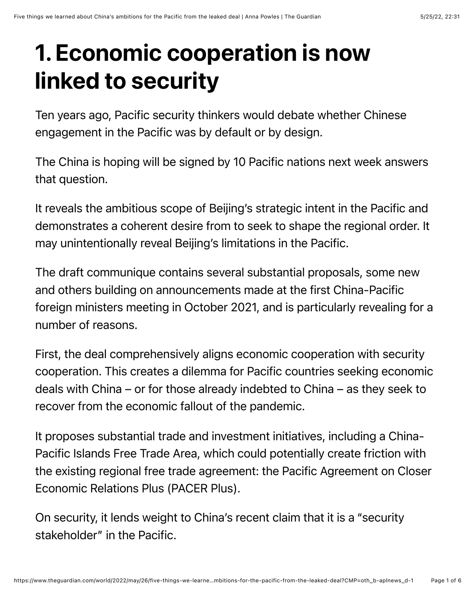# 1. Economic cooperation is now linked to security

Ten years ago, Pacific security thinkers would debate whether Chinese engagement in the Pacific was by default or by design.

The China is hoping will be signed by 10 Pacific nations next week answers that question.

It reveals the ambitious scope of Beijing's strategic intent in the Pacific and demonstrates a coherent desire from to seek to shape the regional order. It may unintentionally reveal Beijing's limitations in the Pacific.

The draft communique contains several substantial proposals, some new and others building on announcements made at the first China-Pacific foreign ministers meeting in October 2021, and is particularly revealing for a number of reasons.

First, the deal comprehensively aligns economic cooperation with security cooperation. This creates a dilemma for Pacific countries seeking economic deals with China – or for those already indebted to China – as they seek to recover from the economic fallout of the pandemic.

It proposes substantial trade and investment initiatives, including a China-Pacific Islands Free Trade Area, which could potentially create friction with the existing regional free trade agreement: the Pacific Agreement on Closer Economic Relations Plus (PACER Plus).

On security, it lends weight to China's recent claim that it is a "security stakeholder" in the Pacific.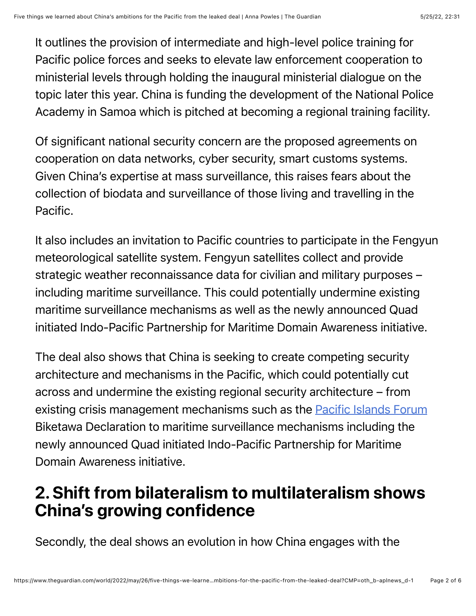It outlines the provision of intermediate and high-level police training for Pacific police forces and seeks to elevate law enforcement cooperation to ministerial levels through holding the inaugural ministerial dialogue on the topic later this year. China is funding the development of the National Police Academy in Samoa which is pitched at becoming a regional training facility.

Of significant national security concern are the proposed agreements on cooperation on data networks, cyber security, smart customs systems. Given China's expertise at mass surveillance, this raises fears about the collection of biodata and surveillance of those living and travelling in the Pacific.

It also includes an invitation to Pacific countries to participate in the Fengyun meteorological satellite system. Fengyun satellites collect and provide strategic weather reconnaissance data for civilian and military purposes – including maritime surveillance. This could potentially undermine existing maritime surveillance mechanisms as well as the newly announced Quad initiated Indo-Pacific Partnership for Maritime Domain Awareness initiative.

The deal also shows that China is seeking to create competing security architecture and mechanisms in the Pacific, which could potentially cut across and undermine the existing regional security architecture – from existing crisis management mechanisms such as the **[Pacific Islands Forum](https://www.theguardian.com/world/pacific-islands-forum)** Biketawa Declaration to maritime surveillance mechanisms including the newly announced Quad initiated Indo-Pacific Partnership for Maritime Domain Awareness initiative.

### 2. Shift from bilateralism to multilateralism shows China's growing confidence

Secondly, the deal shows an evolution in how China engages with the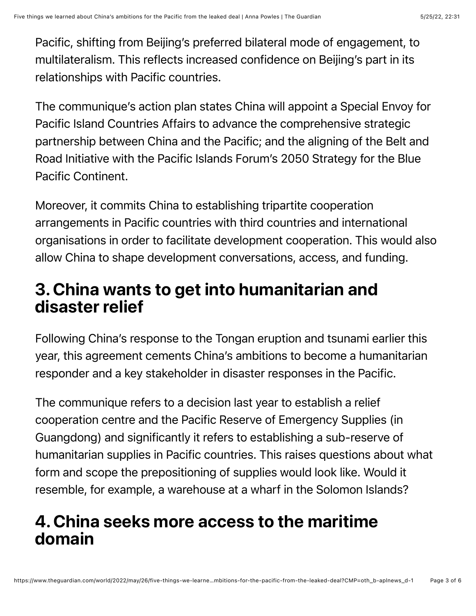Pacific, shifting from Beijing's preferred bilateral mode of engagement, to multilateralism. This reflects increased confidence on Beijing's part in its relationships with Pacific countries.

The communique's action plan states China will appoint a Special Envoy for Pacific Island Countries Affairs to advance the comprehensive strategic partnership between China and the Pacific; and the aligning of the Belt and Road Initiative with the Pacific Islands Forum's 2050 Strategy for the Blue Pacific Continent.

Moreover, it commits China to establishing tripartite cooperation arrangements in Pacific countries with third countries and international organisations in order to facilitate development cooperation. This would also allow China to shape development conversations, access, and funding.

## 3. China wants to get into humanitarian and disaster relief

Following China's response to the Tongan eruption and tsunami earlier this year, this agreement cements China's ambitions to become a humanitarian responder and a key stakeholder in disaster responses in the Pacific.

The communique refers to a decision last year to establish a relief cooperation centre and the Pacific Reserve of Emergency Supplies (in Guangdong) and significantly it refers to establishing a sub-reserve of humanitarian supplies in Pacific countries. This raises questions about what form and scope the prepositioning of supplies would look like. Would it resemble, for example, a warehouse at a wharf in the Solomon Islands?

### 4. China seeks more access to the maritime domain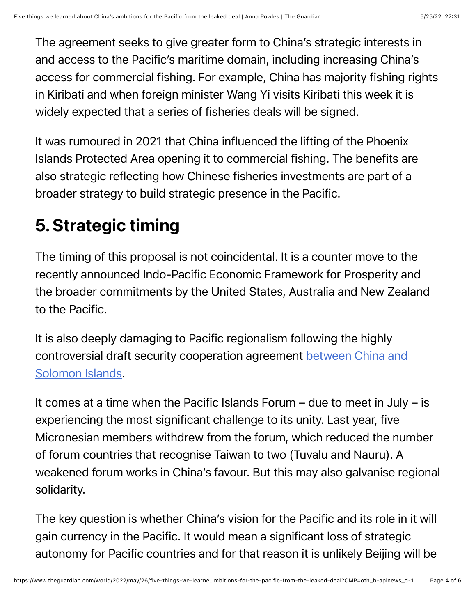The agreement seeks to give greater form to China's strategic interests in and access to the Pacific's maritime domain, including increasing China's access for commercial fishing. For example, China has majority fishing rights in Kiribati and when foreign minister Wang Yi visits Kiribati this week it is widely expected that a series of fisheries deals will be signed.

It was rumoured in 2021 that China influenced the lifting of the Phoenix Islands Protected Area opening it to commercial fishing. The benefits are also strategic reflecting how Chinese fisheries investments are part of a broader strategy to build strategic presence in the Pacific.

# 5. Strategic timing

The timing of this proposal is not coincidental. It is a counter move to the recently announced Indo-Pacific Economic Framework for Prosperity and the broader commitments by the United States, Australia and New Zealand to the Pacific.

It is also deeply damaging to Pacific regionalism following the highly [controversial draft security cooperation agreement between China and](https://www.theguardian.com/world/2022/apr/20/the-deal-that-shocked-the-world-inside-the-china-solomons-security-pact) Solomon Islands.

It comes at a time when the Pacific Islands Forum – due to meet in July – is experiencing the most significant challenge to its unity. Last year, five Micronesian members withdrew from the forum, which reduced the number of forum countries that recognise Taiwan to two (Tuvalu and Nauru). A weakened forum works in China's favour. But this may also galvanise regional solidarity.

The key question is whether China's vision for the Pacific and its role in it will gain currency in the Pacific. It would mean a significant loss of strategic autonomy for Pacific countries and for that reason it is unlikely Beijing will be